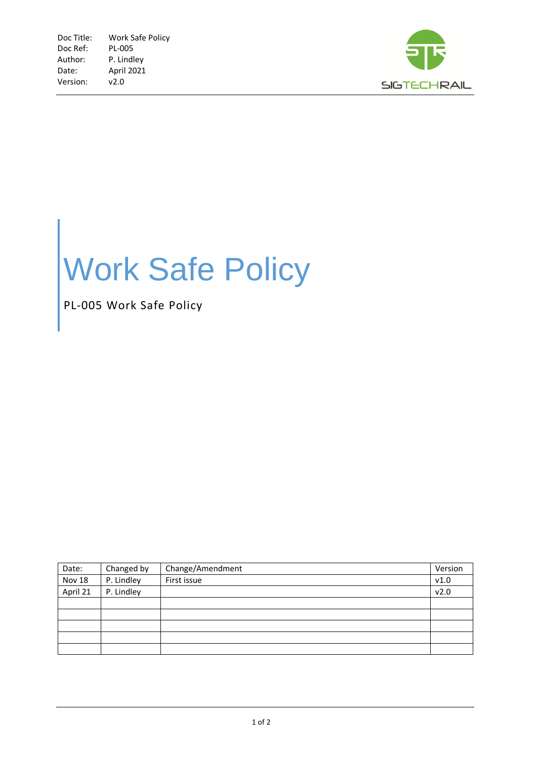

## Work Safe Policy

PL-005 Work Safe Policy

| Date:    | Changed by | Change/Amendment | Version |
|----------|------------|------------------|---------|
| Nov 18   | P. Lindley | First issue      | v1.0    |
| April 21 | P. Lindley |                  | v2.0    |
|          |            |                  |         |
|          |            |                  |         |
|          |            |                  |         |
|          |            |                  |         |
|          |            |                  |         |